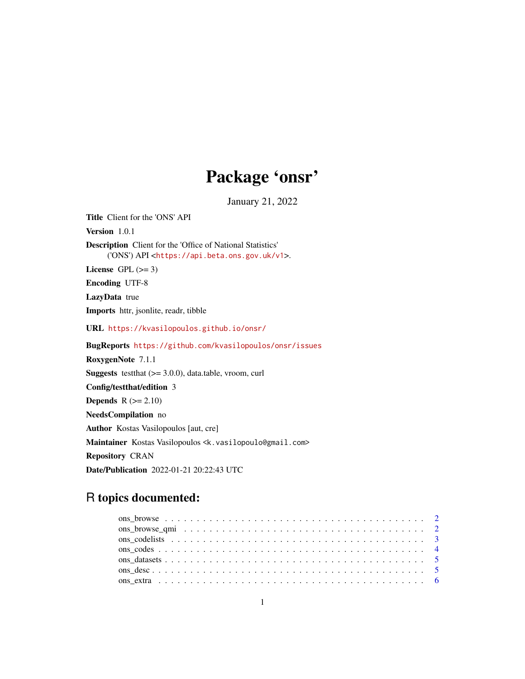## Package 'onsr'

January 21, 2022

Title Client for the 'ONS' API Version 1.0.1 Description Client for the 'Office of National Statistics' ('ONS') API <<https://api.beta.ons.gov.uk/v1>>. License GPL  $(>= 3)$ Encoding UTF-8 LazyData true Imports httr, jsonlite, readr, tibble URL <https://kvasilopoulos.github.io/onsr/> BugReports <https://github.com/kvasilopoulos/onsr/issues> RoxygenNote 7.1.1 **Suggests** testthat  $(>= 3.0.0)$ , data.table, vroom, curl Config/testthat/edition 3 **Depends**  $R$  ( $>= 2.10$ ) NeedsCompilation no Author Kostas Vasilopoulos [aut, cre] Maintainer Kostas Vasilopoulos <k.vasilopoulo@gmail.com> Repository CRAN Date/Publication 2022-01-21 20:22:43 UTC

### R topics documented: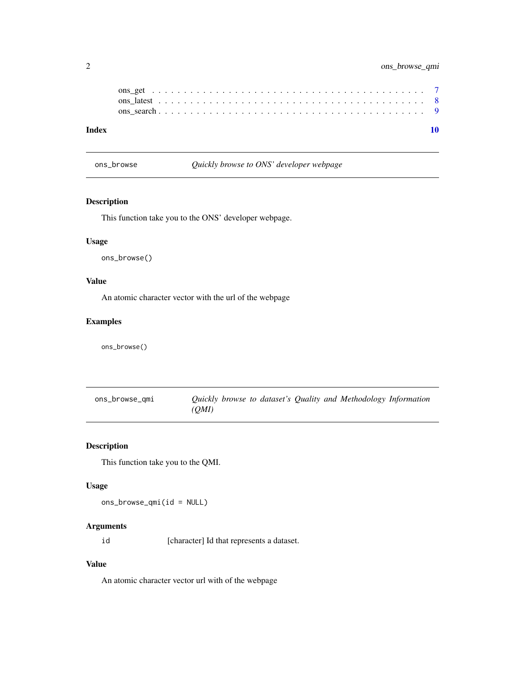<span id="page-1-0"></span>

| Index |  |  |  |  |  |  |  |  |  |  |  |  |  |  |  |  |  |  |  |
|-------|--|--|--|--|--|--|--|--|--|--|--|--|--|--|--|--|--|--|--|
|       |  |  |  |  |  |  |  |  |  |  |  |  |  |  |  |  |  |  |  |
|       |  |  |  |  |  |  |  |  |  |  |  |  |  |  |  |  |  |  |  |
|       |  |  |  |  |  |  |  |  |  |  |  |  |  |  |  |  |  |  |  |

ons\_browse *Quickly browse to ONS' developer webpage*

#### Description

This function take you to the ONS' developer webpage.

#### Usage

ons\_browse()

#### Value

An atomic character vector with the url of the webpage

#### Examples

ons\_browse()

| ons_browse_qmi |       |  |  | Quickly browse to dataset's Quality and Methodology Information |  |
|----------------|-------|--|--|-----------------------------------------------------------------|--|
|                | (OMI) |  |  |                                                                 |  |

#### Description

This function take you to the QMI.

#### Usage

ons\_browse\_qmi(id = NULL)

#### Arguments

id [character] Id that represents a dataset.

#### Value

An atomic character vector url with of the webpage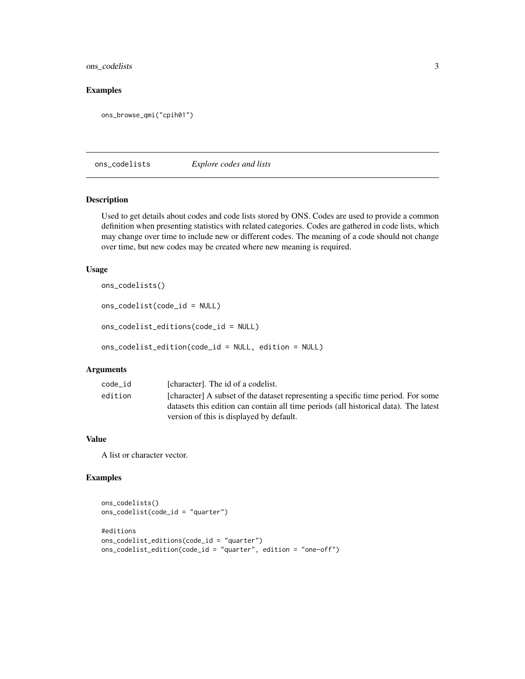#### <span id="page-2-0"></span>ons\_codelists 3

#### Examples

ons\_browse\_qmi("cpih01")

ons\_codelists *Explore codes and lists*

#### Description

Used to get details about codes and code lists stored by ONS. Codes are used to provide a common definition when presenting statistics with related categories. Codes are gathered in code lists, which may change over time to include new or different codes. The meaning of a code should not change over time, but new codes may be created where new meaning is required.

#### Usage

```
ons_codelists()
ons_codelist(code_id = NULL)
ons_codelist_editions(code_id = NULL)
ons_codelist_edition(code_id = NULL, edition = NULL)
```
#### Arguments

| code id | [character]. The id of a codelist.                                                   |
|---------|--------------------------------------------------------------------------------------|
| edition | [character] A subset of the dataset representing a specific time period. For some    |
|         | datasets this edition can contain all time periods (all historical data). The latest |
|         | version of this is displayed by default.                                             |

#### Value

A list or character vector.

#### Examples

```
ons_codelists()
ons_codelist(code_id = "quarter")
#editions
ons_codelist_editions(code_id = "quarter")
ons_codelist_edition(code_id = "quarter", edition = "one-off")
```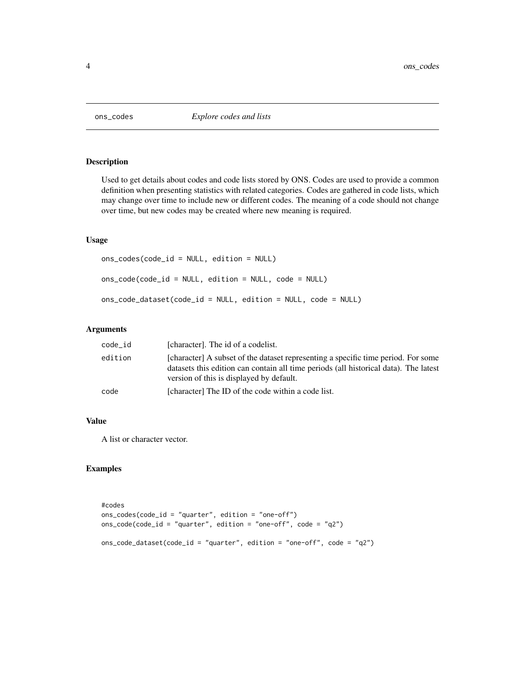<span id="page-3-0"></span>

#### Description

Used to get details about codes and code lists stored by ONS. Codes are used to provide a common definition when presenting statistics with related categories. Codes are gathered in code lists, which may change over time to include new or different codes. The meaning of a code should not change over time, but new codes may be created where new meaning is required.

#### Usage

```
ons_codes(code_id = NULL, edition = NULL)
ons_code(code_id = NULL, edition = NULL, code = NULL)
ons_code_dataset(code_id = NULL, edition = NULL, code = NULL)
```
#### Arguments

| code_id | [character]. The id of a codelist.                                                                                                                                                                                    |
|---------|-----------------------------------------------------------------------------------------------------------------------------------------------------------------------------------------------------------------------|
| edition | [character] A subset of the dataset representing a specific time period. For some<br>datasets this edition can contain all time periods (all historical data). The latest<br>version of this is displayed by default. |
| code    | [character] The ID of the code within a code list.                                                                                                                                                                    |

#### Value

A list or character vector.

#### Examples

```
#codes
ons_codes(code_id = "quarter", edition = "one-off")
ons_code(code_id = "quarter", edition = "one-off", code = "q2")
ons_code_dataset(code_id = "quarter", edition = "one-off", code = "q2")
```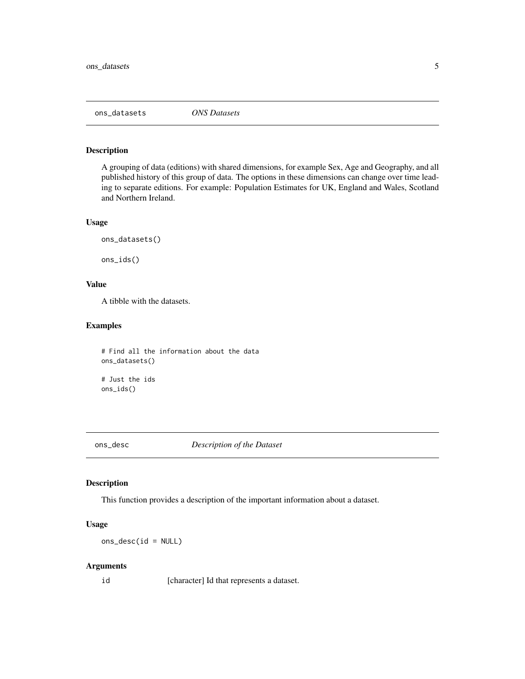<span id="page-4-0"></span>ons\_datasets *ONS Datasets*

#### **Description**

A grouping of data (editions) with shared dimensions, for example Sex, Age and Geography, and all published history of this group of data. The options in these dimensions can change over time leading to separate editions. For example: Population Estimates for UK, England and Wales, Scotland and Northern Ireland.

#### Usage

ons\_datasets()

ons\_ids()

#### Value

A tibble with the datasets.

#### Examples

# Find all the information about the data ons\_datasets() # Just the ids ons\_ids()

ons\_desc *Description of the Dataset*

#### Description

This function provides a description of the important information about a dataset.

#### Usage

ons\_desc(id = NULL)

#### Arguments

id [character] Id that represents a dataset.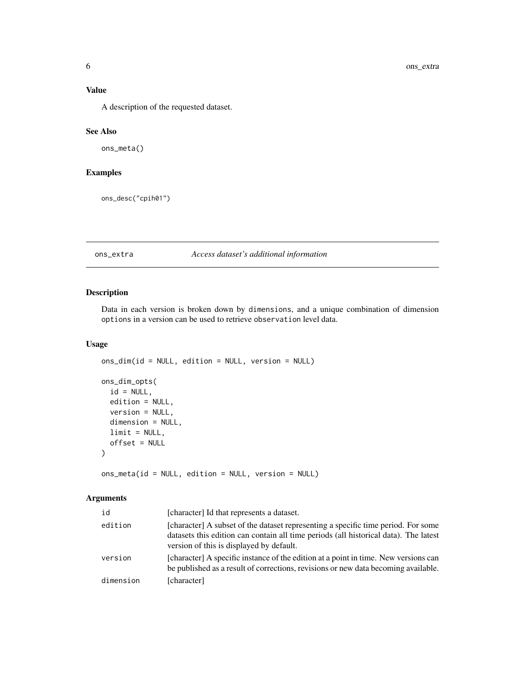#### <span id="page-5-0"></span>Value

A description of the requested dataset.

#### See Also

ons\_meta()

#### Examples

ons\_desc("cpih01")

#### ons\_extra *Access dataset's additional information*

#### Description

Data in each version is broken down by dimensions, and a unique combination of dimension options in a version can be used to retrieve observation level data.

#### Usage

```
ons_dim(id = NULL, edition = NULL, version = NULL)
ons_dim_opts(
 id = NULL,edition = NULL,
 version = NULL,
 dimension = NULL,
 limit = NULL,
```
offset = NULL  $\mathcal{L}$ 

ons\_meta(id = NULL, edition = NULL, version = NULL)

#### Arguments

| id        | [character] Id that represents a dataset.                                                                                                                                                                             |
|-----------|-----------------------------------------------------------------------------------------------------------------------------------------------------------------------------------------------------------------------|
| edition   | [character] A subset of the dataset representing a specific time period. For some<br>datasets this edition can contain all time periods (all historical data). The latest<br>version of this is displayed by default. |
| version   | [character] A specific instance of the edition at a point in time. New versions can<br>be published as a result of corrections, revisions or new data becoming available.                                             |
| dimension | [character]                                                                                                                                                                                                           |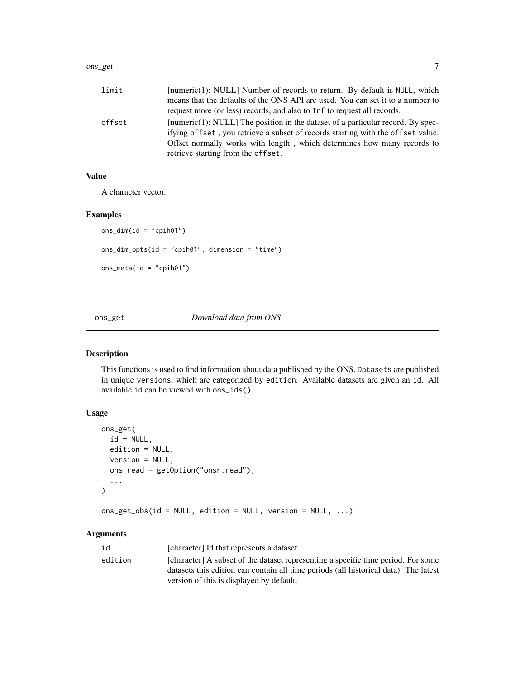#### <span id="page-6-0"></span>ons\_get 7

| limit  | [numeric(1): NULL] Number of records to return. By default is NULL, which                                                                                           |
|--------|---------------------------------------------------------------------------------------------------------------------------------------------------------------------|
|        | means that the defaults of the ONS API are used. You can set it to a number to                                                                                      |
|        | request more (or less) records, and also to Inf to request all records.                                                                                             |
| offset | [numeric(1): NULL] The position in the dataset of a particular record. By spec-<br>if ying offset, you retrieve a subset of records starting with the offset value. |
|        | Offset normally works with length, which determines how many records to                                                                                             |
|        | retrieve starting from the offset.                                                                                                                                  |

#### Value

A character vector.

#### Examples

```
ons_dim(id = "cpih01")
ons_dim_opts(id = "cpih01", dimension = "time")
ons_meta(id = "cpih01")
```
#### ons\_get *Download data from ONS*

#### Description

This functions is used to find information about data published by the ONS. Datasets are published in unique versions, which are categorized by edition. Available datasets are given an id. All available id can be viewed with ons\_ids().

#### Usage

```
ons_get(
  id = NULL,edition = NULL,
 version = NULL,
 ons_read = getOption("onsr.read"),
  ...
\mathcal{L}ons_get_obs(id = NULL, edition = NULL, version = NULL, ...)
```
#### Arguments

| id      | [character] Id that represents a dataset.                                                                                                                                                                             |
|---------|-----------------------------------------------------------------------------------------------------------------------------------------------------------------------------------------------------------------------|
| edition | [character] A subset of the dataset representing a specific time period. For some<br>datasets this edition can contain all time periods (all historical data). The latest<br>version of this is displayed by default. |
|         |                                                                                                                                                                                                                       |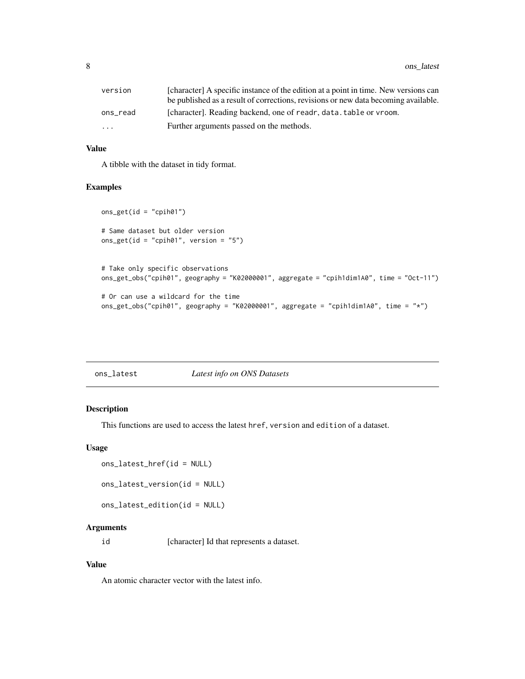<span id="page-7-0"></span>

| version  | [character] A specific instance of the edition at a point in time. New versions can |
|----------|-------------------------------------------------------------------------------------|
|          | be published as a result of corrections, revisions or new data becoming available.  |
| ons_read | [character]. Reading backend, one of readr, data, table or vroom.                   |
| .        | Further arguments passed on the methods.                                            |

#### Value

A tibble with the dataset in tidy format.

#### Examples

```
ons_get(id = "cpih01")
# Same dataset but older version
ons\_get(id = "cpih01", version = "5")# Take only specific observations
ons_get_obs("cpih01", geography = "K02000001", aggregate = "cpih1dim1A0", time = "Oct-11")
# Or can use a wildcard for the time
ons_get_obs("cpih01", geography = "K02000001", aggregate = "cpih1dim1A0", time = "*")
```

| ons_latest | Latest info on ONS Datasets |
|------------|-----------------------------|
|            |                             |

#### Description

This functions are used to access the latest href, version and edition of a dataset.

#### Usage

```
ons_latest_href(id = NULL)
```
ons\_latest\_version(id = NULL)

ons\_latest\_edition(id = NULL)

#### Arguments

id [character] Id that represents a dataset.

#### Value

An atomic character vector with the latest info.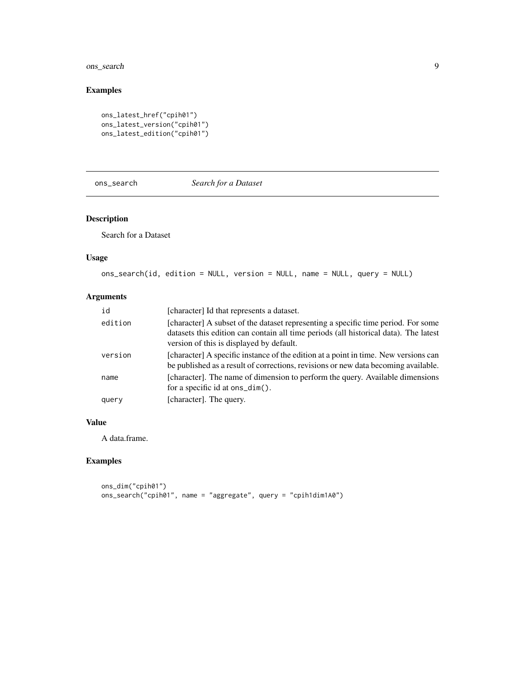### <span id="page-8-0"></span>ons\_search 9

### Examples

```
ons_latest_href("cpih01")
ons_latest_version("cpih01")
ons_latest_edition("cpih01")
```
ons\_search *Search for a Dataset*

### Description

Search for a Dataset

#### Usage

```
ons_search(id, edition = NULL, version = NULL, name = NULL, query = NULL)
```
#### Arguments

| id      | [character] Id that represents a dataset.                                                                                                                                                                             |
|---------|-----------------------------------------------------------------------------------------------------------------------------------------------------------------------------------------------------------------------|
| edition | [character] A subset of the dataset representing a specific time period. For some<br>datasets this edition can contain all time periods (all historical data). The latest<br>version of this is displayed by default. |
| version | [character] A specific instance of the edition at a point in time. New versions can<br>be published as a result of corrections, revisions or new data becoming available.                                             |
| name    | [character]. The name of dimension to perform the query. Available dimensions<br>for a specific id at ons_dim().                                                                                                      |
| query   | [character]. The query.                                                                                                                                                                                               |

#### Value

A data.frame.

#### Examples

```
ons_dim("cpih01")
ons_search("cpih01", name = "aggregate", query = "cpih1dim1A0")
```